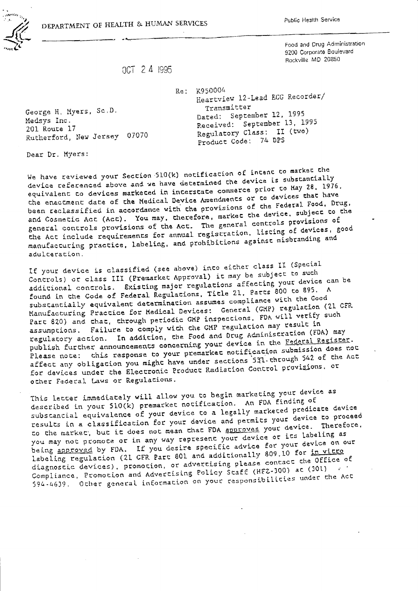DEPARTMENT OF HEALTH & HUMAN SERVICES

Food and Drug Administration 9200 Corporate Boulevard Rockville MD 20850

OCT 2 4 1995

George H. Myers, Sc.D. Medsys Inc. 201 Route 17 Rutherford, New Jersey 07070 Re: K950004 Heartview 12-Lead ECG Recorder/ Transmitter Dated: September 12, 1995 Received: September 13, 1995 Regulatory Class: II (two) Product Code: 74 DPS

Dear Dr. Myers:

We have reviewed your Section 510(k) notification of intent to market the device referenced above and we have determined the device is substantially equivalent to devices marketed in interstate commerce prior to May 28, 1976, the enactment date of the Medical Device Amendments or to devices that have been reclassified in accordance with the provisions of the Federal Food. Drug. and Cosmetic Act (Act). You may, therefore, market the device, subject to the general controls provisions of the Act. The general controls provisions of the Act include requirements for annual registration, listing of devices, good manufacturing practice, labeling, and prohibitions against misbranding and adulceration.

If your device is classified (see above) inco eicher class II (Special Controls) or class III (Premarket Approval) it may be subject to such additional controls. Existing major regulations affecting your device can be found in the Code of Federal Regulacions, Title 21, Parts 800 to 895. A substantially equivalent determination assumes compliance with the Good Manufacturing Practice for Medical Devices: General (GXP) regulation (21 CFR Part 820) and that, through periodic GMP inspections. FDA will verify such assumptions. Failure to comply with the GMP regulation may result in regulatory action. In addition, the Food and Drug Administration (FDA) may publish further announcements concerning your device in the Federal Register. Please note: this response to your premarket notification submission does not affect any obligation you might have under sections 531 through 542 of the Act for devices under the Electronic Product Radiation Control provisions, or other Federal Laws or Regulations.

This letter immediately will allow you to begin marketing your device as described in your 510(k) premarket notification. An FDA finding of substantial equivalence of your device to a legally marketed predicate device results in a classification for your device and permits your device to proceed to the market, but it does not mean that FDA approves your device. Therefore, you may not promote or in any way represent your device or its labeling as being approved by FDA. If you desire specific advice for your device on our labeling regulation (21 CFR Part 801 and additionally 809.10 for in vitro diagnostic devices), promotion, or advertising please contact the Office of Compliance, Promotion and Advertising Policy Staff (HFZ-300) at (301) 594-4639. Other general information on your responsibilities under the Act